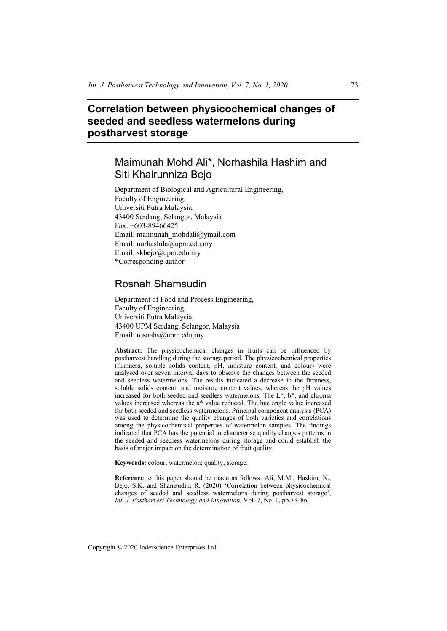# **Correlation between physicochemical changes of seeded and seedless watermelons during postharvest storage**

# Maimunah Mohd Ali\*, Norhashila Hashim and Siti Khairunniza Bejo

Department of Biological and Agricultural Engineering, Faculty of Engineering, Universiti Putra Malaysia, 43400 Serdang, Selangor, Malaysia Fax: +603-89466425 Email: maimunah\_mohdali@ymail.com Email: norhashila@upm.edu.my Email: skbejo@upm.edu.my \*Corresponding author

# Rosnah Shamsudin

Department of Food and Process Engineering, Faculty of Engineering, Universiti Putra Malaysia, 43400 UPM Serdang, Selangor, Malaysia Email: rosnahs@upm.edu.my

**Abstract:** The physicochemical changes in fruits can be influenced by postharvest handling during the storage period. The physicochemical properties (firmness, soluble solids content, pH, moisture content, and colour) were analysed over seven interval days to observe the changes between the seeded and seedless watermelons. The results indicated a decrease in the firmness, soluble solids content, and moisture content values, whereas the pH values increased for both seeded and seedless watermelons. The L\*, b\*, and chroma values increased whereas the a\* value reduced. The hue angle value increased for both seeded and seedless watermelons. Principal component analysis (PCA) was used to determine the quality changes of both varieties and correlations among the physicochemical properties of watermelon samples. The findings indicated that PCA has the potential to characterise quality changes patterns in the seeded and seedless watermelons during storage and could establish the basis of major impact on the determination of fruit quality.

**Keywords:** colour; watermelon; quality; storage.

**Reference** to this paper should be made as follows: Ali, M.M., Hashim, N., Bejo, S.K. and Shamsudin, R. (2020) 'Correlation between physicochemical changes of seeded and seedless watermelons during postharvest storage', *Int. J. Postharvest Technology and Innovation*, Vol. 7, No. 1, pp.73–86.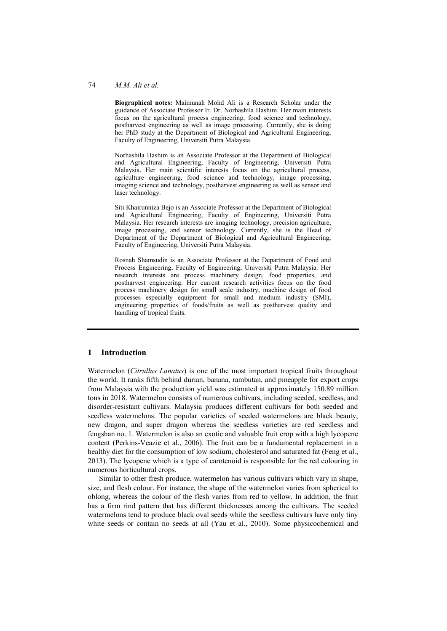#### 74 *M.M. Ali et al.*

**Biographical notes:** Maimunah Mohd Ali is a Research Scholar under the guidance of Associate Professor Ir. Dr. Norhashila Hashim. Her main interests focus on the agricultural process engineering, food science and technology, postharvest engineering as well as image processing. Currently, she is doing her PhD study at the Department of Biological and Agricultural Engineering, Faculty of Engineering, Universiti Putra Malaysia.

Norhashila Hashim is an Associate Professor at the Department of Biological and Agricultural Engineering, Faculty of Engineering, Universiti Putra Malaysia. Her main scientific interests focus on the agricultural process, agriculture engineering, food science and technology, image processing, imaging science and technology, postharvest engineering as well as sensor and laser technology.

Siti Khairunniza Bejo is an Associate Professor at the Department of Biological and Agricultural Engineering, Faculty of Engineering, Universiti Putra Malaysia. Her research interests are imaging technology, precision agriculture, image processing, and sensor technology. Currently, she is the Head of Department of the Department of Biological and Agricultural Engineering, Faculty of Engineering, Universiti Putra Malaysia.

Rosnah Shamsudin is an Associate Professor at the Department of Food and Process Engineering, Faculty of Engineering, Universiti Putra Malaysia. Her research interests are process machinery design, food properties, and postharvest engineering. Her current research activities focus on the food process machinery design for small scale industry, machine design of food processes especially equipment for small and medium industry (SMI), engineering properties of foods/fruits as well as postharvest quality and handling of tropical fruits.

#### **1 Introduction**

Watermelon (*Citrullus Lanatus*) is one of the most important tropical fruits throughout the world. It ranks fifth behind durian, banana, rambutan, and pineapple for export crops from Malaysia with the production yield was estimated at approximately 150.89 million tons in 2018. Watermelon consists of numerous cultivars, including seeded, seedless, and disorder-resistant cultivars. Malaysia produces different cultivars for both seeded and seedless watermelons. The popular varieties of seeded watermelons are black beauty, new dragon, and super dragon whereas the seedless varieties are red seedless and fengshan no. 1. Watermelon is also an exotic and valuable fruit crop with a high lycopene content (Perkins-Veazie et al., 2006). The fruit can be a fundamental replacement in a healthy diet for the consumption of low sodium, cholesterol and saturated fat (Feng et al., 2013). The lycopene which is a type of carotenoid is responsible for the red colouring in numerous horticultural crops.

Similar to other fresh produce, watermelon has various cultivars which vary in shape, size, and flesh colour. For instance, the shape of the watermelon varies from spherical to oblong, whereas the colour of the flesh varies from red to yellow. In addition, the fruit has a firm rind pattern that has different thicknesses among the cultivars. The seeded watermelons tend to produce black oval seeds while the seedless cultivars have only tiny white seeds or contain no seeds at all (Yau et al., 2010). Some physicochemical and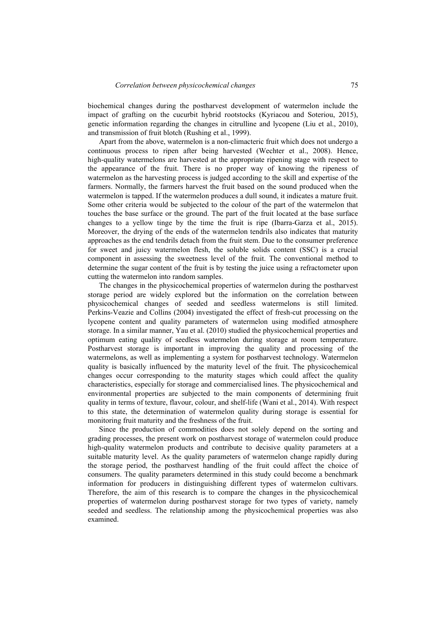biochemical changes during the postharvest development of watermelon include the impact of grafting on the cucurbit hybrid rootstocks (Kyriacou and Soteriou, 2015), genetic information regarding the changes in citrulline and lycopene (Liu et al., 2010), and transmission of fruit blotch (Rushing et al., 1999).

Apart from the above, watermelon is a non-climacteric fruit which does not undergo a continuous process to ripen after being harvested (Wechter et al., 2008). Hence, high-quality watermelons are harvested at the appropriate ripening stage with respect to the appearance of the fruit. There is no proper way of knowing the ripeness of watermelon as the harvesting process is judged according to the skill and expertise of the farmers. Normally, the farmers harvest the fruit based on the sound produced when the watermelon is tapped. If the watermelon produces a dull sound, it indicates a mature fruit. Some other criteria would be subjected to the colour of the part of the watermelon that touches the base surface or the ground. The part of the fruit located at the base surface changes to a yellow tinge by the time the fruit is ripe (Ibarra-Garza et al., 2015). Moreover, the drying of the ends of the watermelon tendrils also indicates that maturity approaches as the end tendrils detach from the fruit stem. Due to the consumer preference for sweet and juicy watermelon flesh, the soluble solids content (SSC) is a crucial component in assessing the sweetness level of the fruit. The conventional method to determine the sugar content of the fruit is by testing the juice using a refractometer upon cutting the watermelon into random samples.

The changes in the physicochemical properties of watermelon during the postharvest storage period are widely explored but the information on the correlation between physicochemical changes of seeded and seedless watermelons is still limited. Perkins-Veazie and Collins (2004) investigated the effect of fresh-cut processing on the lycopene content and quality parameters of watermelon using modified atmosphere storage. In a similar manner, Yau et al. (2010) studied the physicochemical properties and optimum eating quality of seedless watermelon during storage at room temperature. Postharvest storage is important in improving the quality and processing of the watermelons, as well as implementing a system for postharvest technology. Watermelon quality is basically influenced by the maturity level of the fruit. The physicochemical changes occur corresponding to the maturity stages which could affect the quality characteristics, especially for storage and commercialised lines. The physicochemical and environmental properties are subjected to the main components of determining fruit quality in terms of texture, flavour, colour, and shelf-life (Wani et al., 2014). With respect to this state, the determination of watermelon quality during storage is essential for monitoring fruit maturity and the freshness of the fruit.

Since the production of commodities does not solely depend on the sorting and grading processes, the present work on postharvest storage of watermelon could produce high-quality watermelon products and contribute to decisive quality parameters at a suitable maturity level. As the quality parameters of watermelon change rapidly during the storage period, the postharvest handling of the fruit could affect the choice of consumers. The quality parameters determined in this study could become a benchmark information for producers in distinguishing different types of watermelon cultivars. Therefore, the aim of this research is to compare the changes in the physicochemical properties of watermelon during postharvest storage for two types of variety, namely seeded and seedless. The relationship among the physicochemical properties was also examined.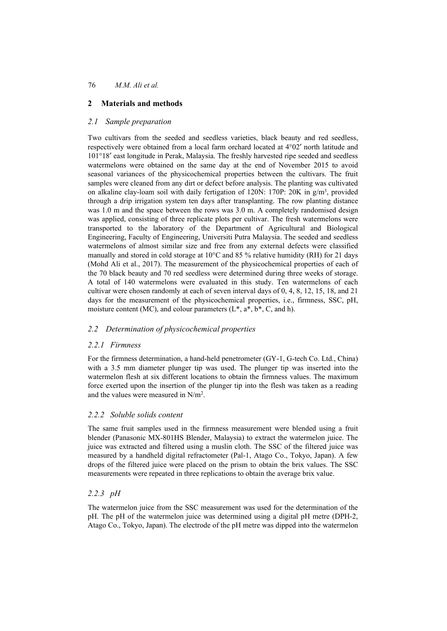## **2 Materials and methods**

## *2.1 Sample preparation*

Two cultivars from the seeded and seedless varieties, black beauty and red seedless, respectively were obtained from a local farm orchard located at 4°02′ north latitude and 101°18′ east longitude in Perak, Malaysia. The freshly harvested ripe seeded and seedless watermelons were obtained on the same day at the end of November 2015 to avoid seasonal variances of the physicochemical properties between the cultivars. The fruit samples were cleaned from any dirt or defect before analysis. The planting was cultivated on alkaline clay-loam soil with daily fertigation of 120N: 170P: 20K in g/m3, provided through a drip irrigation system ten days after transplanting. The row planting distance was 1.0 m and the space between the rows was 3.0 m. A completely randomised design was applied, consisting of three replicate plots per cultivar. The fresh watermelons were transported to the laboratory of the Department of Agricultural and Biological Engineering, Faculty of Engineering, Universiti Putra Malaysia. The seeded and seedless watermelons of almost similar size and free from any external defects were classified manually and stored in cold storage at 10°C and 85 % relative humidity (RH) for 21 days (Mohd Ali et al., 2017). The measurement of the physicochemical properties of each of the 70 black beauty and 70 red seedless were determined during three weeks of storage. A total of 140 watermelons were evaluated in this study. Ten watermelons of each cultivar were chosen randomly at each of seven interval days of 0, 4, 8, 12, 15, 18, and 21 days for the measurement of the physicochemical properties, i.e., firmness, SSC, pH, moisture content (MC), and colour parameters  $(L^*, a^*, b^*, C,$  and h).

### *2.2 Determination of physicochemical properties*

### *2.2.1 Firmness*

For the firmness determination, a hand-held penetrometer (GY-1, G-tech Co. Ltd., China) with a 3.5 mm diameter plunger tip was used. The plunger tip was inserted into the watermelon flesh at six different locations to obtain the firmness values. The maximum force exerted upon the insertion of the plunger tip into the flesh was taken as a reading and the values were measured in N/m2.

### *2.2.2 Soluble solids content*

The same fruit samples used in the firmness measurement were blended using a fruit blender (Panasonic MX-801HS Blender, Malaysia) to extract the watermelon juice. The juice was extracted and filtered using a muslin cloth. The SSC of the filtered juice was measured by a handheld digital refractometer (Pal-1, Atago Co., Tokyo, Japan). A few drops of the filtered juice were placed on the prism to obtain the brix values. The SSC measurements were repeated in three replications to obtain the average brix value.

## *2.2.3 pH*

The watermelon juice from the SSC measurement was used for the determination of the pH. The pH of the watermelon juice was determined using a digital pH metre (DPH-2, Atago Co., Tokyo, Japan). The electrode of the pH metre was dipped into the watermelon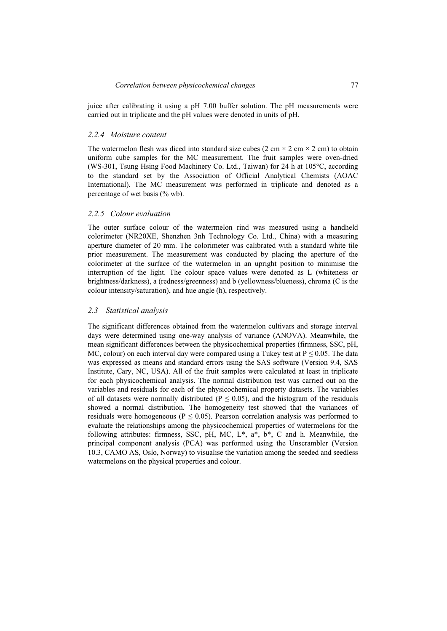juice after calibrating it using a pH 7.00 buffer solution. The pH measurements were carried out in triplicate and the pH values were denoted in units of pH.

#### *2.2.4 Moisture content*

The watermelon flesh was diced into standard size cubes (2 cm  $\times$  2 cm  $\times$  2 cm) to obtain uniform cube samples for the MC measurement. The fruit samples were oven-dried (WS-301, Tsung Hsing Food Machinery Co. Ltd., Taiwan) for 24 h at 105°C, according to the standard set by the Association of Official Analytical Chemists (AOAC International). The MC measurement was performed in triplicate and denoted as a percentage of wet basis (% wb).

#### *2.2.5 Colour evaluation*

The outer surface colour of the watermelon rind was measured using a handheld colorimeter (NR20XE, Shenzhen 3nh Technology Co. Ltd., China) with a measuring aperture diameter of 20 mm. The colorimeter was calibrated with a standard white tile prior measurement. The measurement was conducted by placing the aperture of the colorimeter at the surface of the watermelon in an upright position to minimise the interruption of the light. The colour space values were denoted as L (whiteness or brightness/darkness), a (redness/greenness) and b (yellowness/blueness), chroma (C is the colour intensity/saturation), and hue angle (h), respectively.

#### *2.3 Statistical analysis*

The significant differences obtained from the watermelon cultivars and storage interval days were determined using one-way analysis of variance (ANOVA). Meanwhile, the mean significant differences between the physicochemical properties (firmness, SSC, pH, MC, colour) on each interval day were compared using a Tukey test at  $P \le 0.05$ . The data was expressed as means and standard errors using the SAS software (Version 9.4, SAS Institute, Cary, NC, USA). All of the fruit samples were calculated at least in triplicate for each physicochemical analysis. The normal distribution test was carried out on the variables and residuals for each of the physicochemical property datasets. The variables of all datasets were normally distributed ( $P \le 0.05$ ), and the histogram of the residuals showed a normal distribution. The homogeneity test showed that the variances of residuals were homogeneous ( $P \le 0.05$ ). Pearson correlation analysis was performed to evaluate the relationships among the physicochemical properties of watermelons for the following attributes: firmness, SSC, pH, MC, L\*, a\*, b\*, C and h. Meanwhile, the principal component analysis (PCA) was performed using the Unscrambler (Version 10.3, CAMO AS, Oslo, Norway) to visualise the variation among the seeded and seedless watermelons on the physical properties and colour.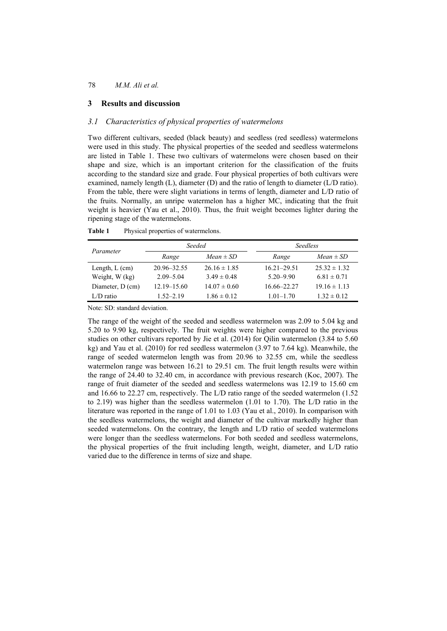#### **3 Results and discussion**

## *3.1 Characteristics of physical properties of watermelons*

Two different cultivars, seeded (black beauty) and seedless (red seedless) watermelons were used in this study. The physical properties of the seeded and seedless watermelons are listed in Table 1. These two cultivars of watermelons were chosen based on their shape and size, which is an important criterion for the classification of the fruits according to the standard size and grade. Four physical properties of both cultivars were examined, namely length (L), diameter (D) and the ratio of length to diameter (L/D ratio). From the table, there were slight variations in terms of length, diameter and L/D ratio of the fruits. Normally, an unripe watermelon has a higher MC, indicating that the fruit weight is heavier (Yau et al., 2010). Thus, the fruit weight becomes lighter during the ripening stage of the watermelons.

|                  |                 | Seeded           |                 | <i>Seedless</i>  |  |  |  |
|------------------|-----------------|------------------|-----------------|------------------|--|--|--|
| Parameter        | Range           | $Mean \pm SD$    | Range           | $Mean \pm SD$    |  |  |  |
| Length, $L$ (cm) | 20.96-32.55     | $26.16 \pm 1.85$ | $16.21 - 29.51$ | $25.32 \pm 1.32$ |  |  |  |
| Weight, W (kg)   | $2.09 - 5.04$   | $3.49 \pm 0.48$  | $5.20 - 9.90$   | $6.81 \pm 0.71$  |  |  |  |
| Diameter, D (cm) | $12.19 - 15.60$ | $14.07 \pm 0.60$ | 16.66–22.27     | $19.16 \pm 1.13$ |  |  |  |
| $L/D$ ratio      | $1.52 - 2.19$   | $1.86 \pm 0.12$  | $1.01 - 1.70$   | $1.32 \pm 0.12$  |  |  |  |

**Table 1** Physical properties of watermelons.

Note: SD: standard deviation.

The range of the weight of the seeded and seedless watermelon was 2.09 to 5.04 kg and 5.20 to 9.90 kg, respectively. The fruit weights were higher compared to the previous studies on other cultivars reported by Jie et al. (2014) for Qilin watermelon (3.84 to 5.60 kg) and Yau et al. (2010) for red seedless watermelon (3.97 to 7.64 kg). Meanwhile, the range of seeded watermelon length was from 20.96 to 32.55 cm, while the seedless watermelon range was between 16.21 to 29.51 cm. The fruit length results were within the range of 24.40 to 32.40 cm, in accordance with previous research (Koc, 2007). The range of fruit diameter of the seeded and seedless watermelons was 12.19 to 15.60 cm and 16.66 to 22.27 cm, respectively. The L/D ratio range of the seeded watermelon (1.52 to 2.19) was higher than the seedless watermelon (1.01 to 1.70). The L/D ratio in the literature was reported in the range of 1.01 to 1.03 (Yau et al., 2010). In comparison with the seedless watermelons, the weight and diameter of the cultivar markedly higher than seeded watermelons. On the contrary, the length and L/D ratio of seeded watermelons were longer than the seedless watermelons. For both seeded and seedless watermelons, the physical properties of the fruit including length, weight, diameter, and L/D ratio varied due to the difference in terms of size and shape.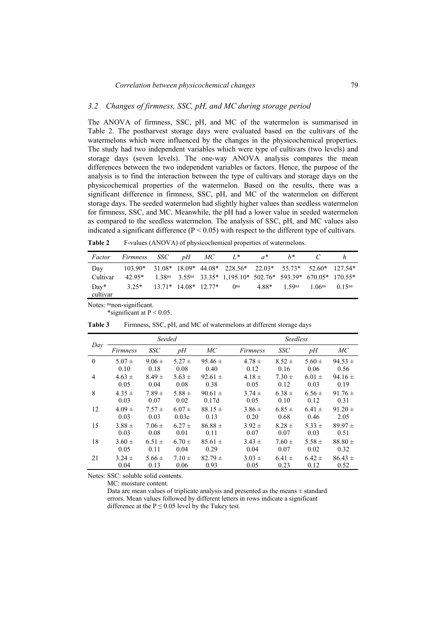#### *3.2 Changes of firmness, SSC, pH, and MC during storage period*

The ANOVA of firmness, SSC, pH, and MC of the watermelon is summarised in Table 2. The postharvest storage days were evaluated based on the cultivars of the watermelons which were influenced by the changes in the physicochemical properties. The study had two independent variables which were type of cultivars (two levels) and storage days (seven levels). The one-way ANOVA analysis compares the mean differences between the two independent variables or factors. Hence, the purpose of the analysis is to find the interaction between the type of cultivars and storage days on the physicochemical properties of the watermelon. Based on the results, there was a significant difference in firmness, SSC, pH, and MC of the watermelon on different storage days. The seeded watermelon had slightly higher values than seedless watermelon for firmness, SSC, and MC. Meanwhile, the pH had a lower value in seeded watermelon as compared to the seedless watermelon. The analysis of SSC, pH, and MC values also indicated a significant difference  $(P < 0.05)$  with respect to the different type of cultivars.

| <b>Table 2</b> |  |  | F-values (ANOVA) of physicochemical properties of watermelons. |
|----------------|--|--|----------------------------------------------------------------|
|----------------|--|--|----------------------------------------------------------------|

| Factor             | <i>Firmness</i>              | SSC | $pH$ MC | $L^*$                                                                 | $a^*$ | $h^*$                      |                    |                      |
|--------------------|------------------------------|-----|---------|-----------------------------------------------------------------------|-------|----------------------------|--------------------|----------------------|
| Day                |                              |     |         | 103.90* 31.08* 18.09* 44.08* 228.56* 22.03* 55.73* 52.60* 127.54*     |       |                            |                    |                      |
| Cultivar           |                              |     |         | 42.95* 1.38ns 3.55ns 33.35* 1,195.10* 502.76* 593.39* 670.05* 170.55* |       |                            |                    |                      |
| $Day*$<br>cultivar | $3.25*$ 13.71* 14.08* 12.77* |     |         | 0 <sup>ns</sup>                                                       |       | $4.88*$ 1.59 <sup>ns</sup> | 1.06 <sup>ns</sup> | $0.15$ <sup>ns</sup> |

Notes: nsnon-significant.

\*significant at  $P < 0.05$ .

|          |                 | Seeded     |            |             |            | <b>Seedless</b> |            |             |  |
|----------|-----------------|------------|------------|-------------|------------|-----------------|------------|-------------|--|
| Day      | <i>Firmness</i> | <b>SSC</b> | pH         | МC          | Firmness   | SSC             | pH         | MC          |  |
| $\Omega$ | $5.07 \pm$      | $9.06 \pm$ | $5.27 \pm$ | $95.46 \pm$ | $4.78 \pm$ | $8.52 \pm$      | $5.60 \pm$ | $94.53 \pm$ |  |
|          | 0.10            | 0.18       | 0.08       | 0.40        | 0.12       | 0.16            | 0.06       | 0.56        |  |
| 4        | $4.63 \pm$      | $8.49 \pm$ | $5.63 \pm$ | $92.61 \pm$ | $4.18 \pm$ | $7.30 \pm$      | $6.01 \pm$ | 94.16 $\pm$ |  |
|          | 0.05            | 0.04       | 0.08       | 0.38        | 0.05       | 0.12            | 0.03       | 0.19        |  |
| 8        | $4.35 \pm$      | $7.89 \pm$ | 5.88 $\pm$ | $90.61 \pm$ | $3.74 \pm$ | $6.38 \pm$      | $6.56 \pm$ | $91.76 \pm$ |  |
|          | 0.03            | 0.07       | 0.02       | 0.17d       | 0.05       | 0.10            | 0.12       | 0.31        |  |
| 12       | $4.09 \pm$      | $7.57 \pm$ | $6.07 \pm$ | $88.15 \pm$ | $3.86 \pm$ | $6.85 \pm$      | $6.41 \pm$ | $91.20 \pm$ |  |
|          | 0.03            | 0.03       | 0.03c      | 0.13        | 0.20       | 0.68            | 0.46       | 2.05        |  |
| 15       | $3.88 \pm$      | $7.06 \pm$ | $6.27 \pm$ | $86.88 \pm$ | $3.92 \pm$ | $8.28 \pm$      | $5.33 \pm$ | $89.97 \pm$ |  |
|          | 0.03            | 0.08       | 0.01       | 0.11        | 0.07       | 0.07            | 0.03       | 0.51        |  |
| 18       | $3.60 \pm$      | $6.51 \pm$ | $6.70 \pm$ | $85.61 \pm$ | $3.43 \pm$ | $7.60 \pm$      | $5.58 \pm$ | $88.80 \pm$ |  |
|          | 0.05            | 0.11       | 0.04       | 0.29        | 0.04       | 0.07            | 0.02       | 0.32        |  |
| 21       | $3.24 \pm$      | $5.66 \pm$ | $7.10 \pm$ | $82.79 \pm$ | $3.03 \pm$ | $6.41 \pm$      | $6.42 \pm$ | $86.43 \pm$ |  |
|          | 0.04            | 0.13       | 0.06       | 0.93        | 0.05       | 0.23            | 0.12       | 0.52        |  |

**Table 3** Firmness, SSC, pH, and MC of watermelons at different storage days

Notes: SSC: soluble solid contents.

MC: moisture content.

Data are mean values of triplicate analysis and presented as the means  $\pm$  standard errors. Mean values followed by different letters in rows indicate a significant difference at the  $P \le 0.05$  level by the Tukey test.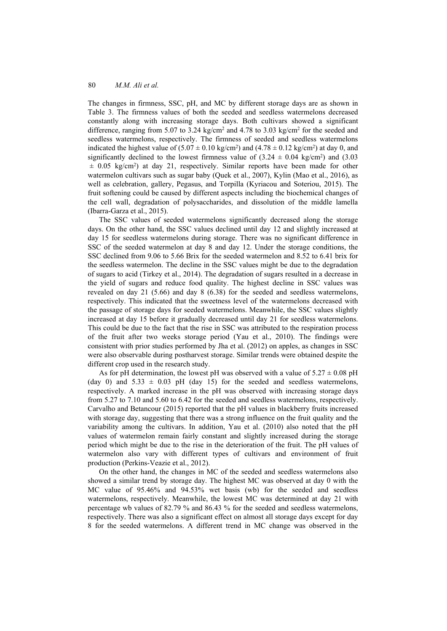The changes in firmness, SSC, pH, and MC by different storage days are as shown in Table 3. The firmness values of both the seeded and seedless watermelons decreased constantly along with increasing storage days. Both cultivars showed a significant difference, ranging from 5.07 to 3.24 kg/cm<sup>2</sup> and 4.78 to 3.03 kg/cm<sup>2</sup> for the seeded and seedless watermelons, respectively. The firmness of seeded and seedless watermelons indicated the highest value of  $(5.07 \pm 0.10 \text{ kg/cm}^2)$  and  $(4.78 \pm 0.12 \text{ kg/cm}^2)$  at day 0, and significantly declined to the lowest firmness value of  $(3.24 \pm 0.04 \text{ kg/cm}^2)$  and  $(3.03 \text{ m})$  $\pm$  0.05 kg/cm<sup>2</sup>) at day 21, respectively. Similar reports have been made for other watermelon cultivars such as sugar baby (Quek et al., 2007), Kylin (Mao et al., 2016), as well as celebration, gallery, Pegasus, and Torpilla (Kyriacou and Soteriou, 2015). The fruit softening could be caused by different aspects including the biochemical changes of the cell wall, degradation of polysaccharides, and dissolution of the middle lamella (Ibarra-Garza et al., 2015).

The SSC values of seeded watermelons significantly decreased along the storage days. On the other hand, the SSC values declined until day 12 and slightly increased at day 15 for seedless watermelons during storage. There was no significant difference in SSC of the seeded watermelon at day 8 and day 12. Under the storage conditions, the SSC declined from 9.06 to 5.66 Brix for the seeded watermelon and 8.52 to 6.41 brix for the seedless watermelon. The decline in the SSC values might be due to the degradation of sugars to acid (Tirkey et al., 2014). The degradation of sugars resulted in a decrease in the yield of sugars and reduce food quality. The highest decline in SSC values was revealed on day 21 (5.66) and day 8 (6.38) for the seeded and seedless watermelons, respectively. This indicated that the sweetness level of the watermelons decreased with the passage of storage days for seeded watermelons. Meanwhile, the SSC values slightly increased at day 15 before it gradually decreased until day 21 for seedless watermelons. This could be due to the fact that the rise in SSC was attributed to the respiration process of the fruit after two weeks storage period (Yau et al., 2010). The findings were consistent with prior studies performed by Jha et al. (2012) on apples, as changes in SSC were also observable during postharvest storage. Similar trends were obtained despite the different crop used in the research study.

As for pH determination, the lowest pH was observed with a value of  $5.27 \pm 0.08$  pH (day 0) and  $5.33 \pm 0.03$  pH (day 15) for the seeded and seedless watermelons, respectively. A marked increase in the pH was observed with increasing storage days from 5.27 to 7.10 and 5.60 to 6.42 for the seeded and seedless watermelons, respectively. Carvalho and Betancour (2015) reported that the pH values in blackberry fruits increased with storage day, suggesting that there was a strong influence on the fruit quality and the variability among the cultivars. In addition, Yau et al. (2010) also noted that the pH values of watermelon remain fairly constant and slightly increased during the storage period which might be due to the rise in the deterioration of the fruit. The pH values of watermelon also vary with different types of cultivars and environment of fruit production (Perkins-Veazie et al., 2012).

On the other hand, the changes in MC of the seeded and seedless watermelons also showed a similar trend by storage day. The highest MC was observed at day 0 with the MC value of 95.46% and 94.53% wet basis (wb) for the seeded and seedless watermelons, respectively. Meanwhile, the lowest MC was determined at day 21 with percentage wb values of 82.79 % and 86.43 % for the seeded and seedless watermelons, respectively. There was also a significant effect on almost all storage days except for day 8 for the seeded watermelons. A different trend in MC change was observed in the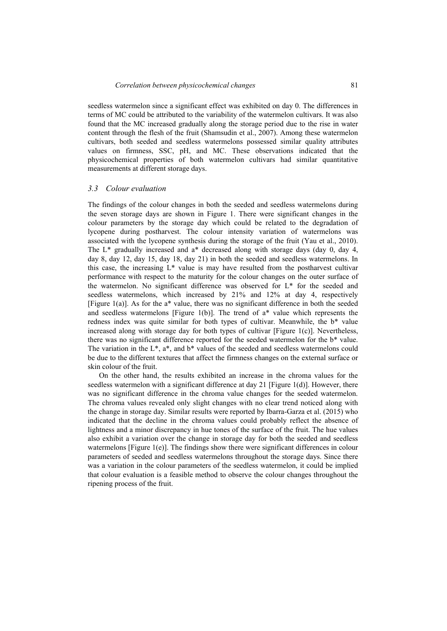seedless watermelon since a significant effect was exhibited on day 0. The differences in terms of MC could be attributed to the variability of the watermelon cultivars. It was also found that the MC increased gradually along the storage period due to the rise in water content through the flesh of the fruit (Shamsudin et al., 2007). Among these watermelon cultivars, both seeded and seedless watermelons possessed similar quality attributes values on firmness, SSC, pH, and MC. These observations indicated that the physicochemical properties of both watermelon cultivars had similar quantitative measurements at different storage days.

#### *3.3 Colour evaluation*

The findings of the colour changes in both the seeded and seedless watermelons during the seven storage days are shown in Figure 1. There were significant changes in the colour parameters by the storage day which could be related to the degradation of lycopene during postharvest. The colour intensity variation of watermelons was associated with the lycopene synthesis during the storage of the fruit (Yau et al., 2010). The  $L^*$  gradually increased and  $a^*$  decreased along with storage days (day 0, day 4, day 8, day 12, day 15, day 18, day 21) in both the seeded and seedless watermelons. In this case, the increasing  $L^*$  value is may have resulted from the postharvest cultivar performance with respect to the maturity for the colour changes on the outer surface of the watermelon. No significant difference was observed for L\* for the seeded and seedless watermelons, which increased by 21% and 12% at day 4, respectively [Figure 1(a)]. As for the a\* value, there was no significant difference in both the seeded and seedless watermelons [Figure 1(b)]. The trend of  $a^*$  value which represents the redness index was quite similar for both types of cultivar. Meanwhile, the b\* value increased along with storage day for both types of cultivar [Figure 1(c)]. Nevertheless, there was no significant difference reported for the seeded watermelon for the b\* value. The variation in the  $L^*$ ,  $a^*$ , and  $b^*$  values of the seeded and seedless watermelons could be due to the different textures that affect the firmness changes on the external surface or skin colour of the fruit.

On the other hand, the results exhibited an increase in the chroma values for the seedless watermelon with a significant difference at day 21 [Figure 1(d)]. However, there was no significant difference in the chroma value changes for the seeded watermelon. The chroma values revealed only slight changes with no clear trend noticed along with the change in storage day. Similar results were reported by Ibarra-Garza et al. (2015) who indicated that the decline in the chroma values could probably reflect the absence of lightness and a minor discrepancy in hue tones of the surface of the fruit. The hue values also exhibit a variation over the change in storage day for both the seeded and seedless watermelons [Figure 1(e)]. The findings show there were significant differences in colour parameters of seeded and seedless watermelons throughout the storage days. Since there was a variation in the colour parameters of the seedless watermelon, it could be implied that colour evaluation is a feasible method to observe the colour changes throughout the ripening process of the fruit.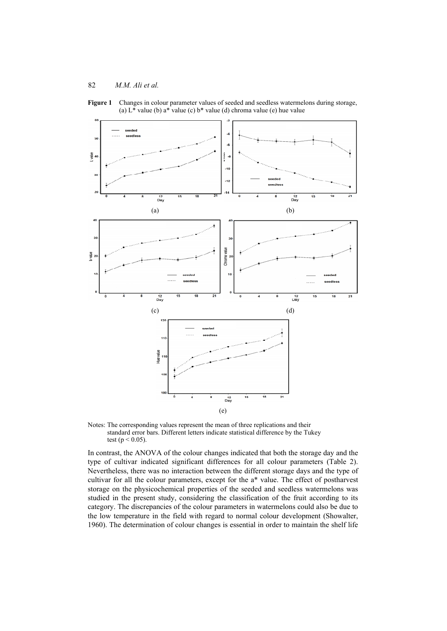**Figure 1** Changes in colour parameter values of seeded and seedless watermelons during storage, (a)  $L^*$  value (b)  $a^*$  value (c)  $b^*$  value (d) chroma value (e) hue value



Notes: The corresponding values represent the mean of three replications and their standard error bars. Different letters indicate statistical difference by the Tukey test ( $p < 0.05$ ).

In contrast, the ANOVA of the colour changes indicated that both the storage day and the type of cultivar indicated significant differences for all colour parameters (Table 2). Nevertheless, there was no interaction between the different storage days and the type of cultivar for all the colour parameters, except for the a\* value. The effect of postharvest storage on the physicochemical properties of the seeded and seedless watermelons was studied in the present study, considering the classification of the fruit according to its category. The discrepancies of the colour parameters in watermelons could also be due to the low temperature in the field with regard to normal colour development (Showalter, 1960). The determination of colour changes is essential in order to maintain the shelf life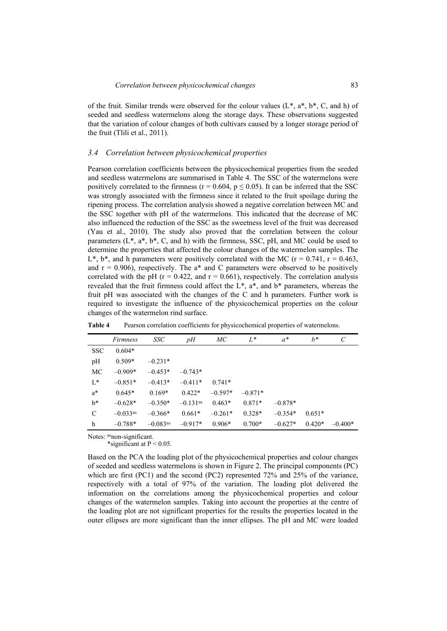of the fruit. Similar trends were observed for the colour values  $(L^*, a^*, b^*, C, and h)$  of seeded and seedless watermelons along the storage days. These observations suggested that the variation of colour changes of both cultivars caused by a longer storage period of the fruit (Tlili et al., 2011).

#### *3.4 Correlation between physicochemical properties*

Pearson correlation coefficients between the physicochemical properties from the seeded and seedless watermelons are summarised in Table 4. The SSC of the watermelons were positively correlated to the firmness ( $r = 0.604$ ,  $p \le 0.05$ ). It can be inferred that the SSC was strongly associated with the firmness since it related to the fruit spoilage during the ripening process. The correlation analysis showed a negative correlation between MC and the SSC together with pH of the watermelons. This indicated that the decrease of MC also influenced the reduction of the SSC as the sweetness level of the fruit was decreased (Yau et al., 2010). The study also proved that the correlation between the colour parameters  $(L^*, a^*, b^*, C, and h)$  with the firmness, SSC, pH, and MC could be used to determine the properties that affected the colour changes of the watermelon samples. The L<sup>\*</sup>, b<sup>\*</sup>, and h parameters were positively correlated with the MC ( $r = 0.741$ ,  $r = 0.463$ , and  $r = 0.906$ , respectively. The a\* and C parameters were observed to be positively correlated with the pH ( $r = 0.422$ , and  $r = 0.661$ ), respectively. The correlation analysis revealed that the fruit firmness could affect the  $L^*$ ,  $a^*$ , and  $b^*$  parameters, whereas the fruit pH was associated with the changes of the C and h parameters. Further work is required to investigate the influence of the physicochemical properties on the colour changes of the watermelon rind surface.

|               | <i>Firmness</i>        | <i>SSC</i>             | pH                     | МC        | $L^*$     | $a^*$     | $b^*$    | C         |
|---------------|------------------------|------------------------|------------------------|-----------|-----------|-----------|----------|-----------|
| <b>SSC</b>    | $0.604*$               |                        |                        |           |           |           |          |           |
| pH            | $0.509*$               | $-0.231*$              |                        |           |           |           |          |           |
| MC            | $-0.909*$              | $-0.453*$              | $-0.743*$              |           |           |           |          |           |
| $L^*$         | $-0.851*$              | $-0.413*$              | $-0.411*$              | $0.741*$  |           |           |          |           |
| $a^*$         | $0.645*$               | $0.169*$               | $0.422*$               | $-0.597*$ | $-0.871*$ |           |          |           |
| $b^*$         | $-0.628*$              | $-0.350*$              | $-0.131$ <sup>ns</sup> | $0.463*$  | $0.871*$  | $-0.878*$ |          |           |
| $\mathcal{C}$ | $-0.033$ <sup>ns</sup> | $-0.366*$              | $0.661*$               | $-0.261*$ | $0.328*$  | $-0.354*$ | $0.651*$ |           |
| h             | $-0.788*$              | $-0.083$ <sup>ns</sup> | $-0.917*$              | $0.906*$  | $0.700*$  | $-0.627*$ | $0.420*$ | $-0.400*$ |

**Table 4** Pearson correlation coefficients for physicochemical properties of watermelons.

Notes: nsnon-significant.

\*significant at  $P < 0.05$ .

Based on the PCA the loading plot of the physicochemical properties and colour changes of seeded and seedless watermelons is shown in Figure 2. The principal components (PC) which are first (PC1) and the second (PC2) represented 72% and 25% of the variance, respectively with a total of 97% of the variation. The loading plot delivered the information on the correlations among the physicochemical properties and colour changes of the watermelon samples. Taking into account the properties at the centre of the loading plot are not significant properties for the results the properties located in the outer ellipses are more significant than the inner ellipses. The pH and MC were loaded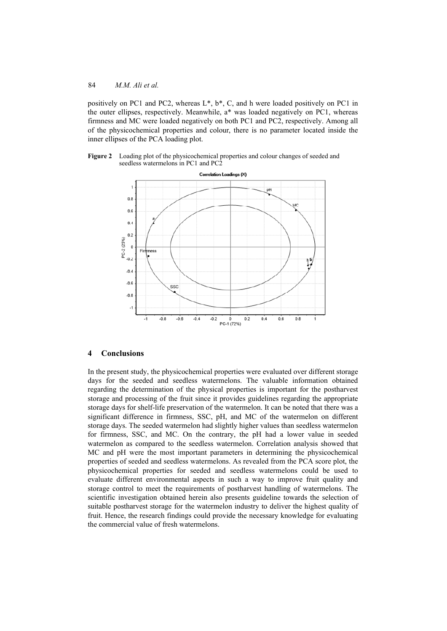positively on PC1 and PC2, whereas L\*, b\*, C, and h were loaded positively on PC1 in the outer ellipses, respectively. Meanwhile, a\* was loaded negatively on PC1, whereas firmness and MC were loaded negatively on both PC1 and PC2, respectively. Among all of the physicochemical properties and colour, there is no parameter located inside the inner ellipses of the PCA loading plot.

**Figure 2** Loading plot of the physicochemical properties and colour changes of seeded and seedless watermelons in PC1 and PC2



#### **4 Conclusions**

In the present study, the physicochemical properties were evaluated over different storage days for the seeded and seedless watermelons. The valuable information obtained regarding the determination of the physical properties is important for the postharvest storage and processing of the fruit since it provides guidelines regarding the appropriate storage days for shelf-life preservation of the watermelon. It can be noted that there was a significant difference in firmness, SSC, pH, and MC of the watermelon on different storage days. The seeded watermelon had slightly higher values than seedless watermelon for firmness, SSC, and MC. On the contrary, the pH had a lower value in seeded watermelon as compared to the seedless watermelon. Correlation analysis showed that MC and pH were the most important parameters in determining the physicochemical properties of seeded and seedless watermelons. As revealed from the PCA score plot, the physicochemical properties for seeded and seedless watermelons could be used to evaluate different environmental aspects in such a way to improve fruit quality and storage control to meet the requirements of postharvest handling of watermelons. The scientific investigation obtained herein also presents guideline towards the selection of suitable postharvest storage for the watermelon industry to deliver the highest quality of fruit. Hence, the research findings could provide the necessary knowledge for evaluating the commercial value of fresh watermelons.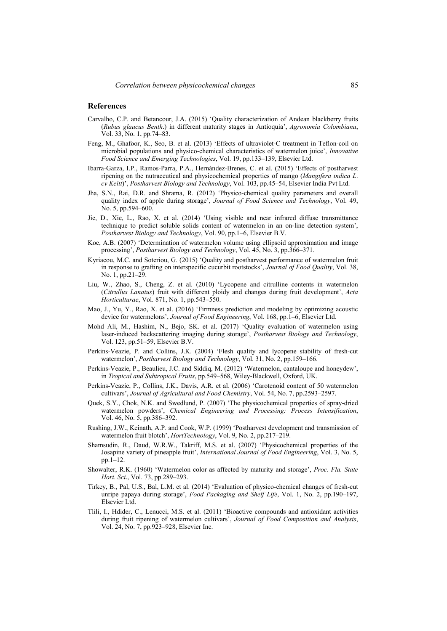#### **References**

- Carvalho, C.P. and Betancour, J.A. (2015) 'Quality characterization of Andean blackberry fruits (*Rubus glaucus Benth*.) in different maturity stages in Antioquia', *Agronomía Colombiana*, Vol. 33, No. 1, pp.74–83.
- Feng, M., Ghafoor, K., Seo, B. et al. (2013) 'Effects of ultraviolet-C treatment in Teflon-coil on microbial populations and physico-chemical characteristics of watermelon juice', *Innovative Food Science and Emerging Technologies*, Vol. 19, pp.133–139, Elsevier Ltd.
- Ibarra-Garza, I.P., Ramos-Parra, P.A., Hernández-Brenes, C. et al. (2015) 'Effects of postharvest ripening on the nutraceutical and physicochemical properties of mango (*Mangifera indica L*. *cv Keitt*)', *Postharvest Biology and Technology*, Vol. 103, pp.45–54, Elsevier India Pvt Ltd.
- Jha, S.N., Rai, D.R. and Shrama, R. (2012) 'Physico-chemical quality parameters and overall quality index of apple during storage', *Journal of Food Science and Technology*, Vol. 49, No. 5, pp.594–600.
- Jie, D., Xie, L., Rao, X. et al. (2014) 'Using visible and near infrared diffuse transmittance technique to predict soluble solids content of watermelon in an on-line detection system', *Postharvest Biology and Technology*, Vol. 90, pp.1–6, Elsevier B.V.
- Koc, A.B. (2007) 'Determination of watermelon volume using ellipsoid approximation and image processing', *Postharvest Biology and Technology*, Vol. 45, No. 3, pp.366–371.
- Kyriacou, M.C. and Soteriou, G. (2015) 'Quality and postharvest performance of watermelon fruit in response to grafting on interspecific cucurbit rootstocks', *Journal of Food Quality*, Vol. 38, No. 1, pp.21–29.
- Liu, W., Zhao, S., Cheng, Z. et al. (2010) 'Lycopene and citrulline contents in watermelon (*Citrullus Lanatus*) fruit with different ploidy and changes during fruit development', *Acta Horticulturae*, Vol. 871, No. 1, pp.543–550.
- Mao, J., Yu, Y., Rao, X. et al. (2016) 'Firmness prediction and modeling by optimizing acoustic device for watermelons', *Journal of Food Engineering*, Vol. 168, pp.1–6, Elsevier Ltd.
- Mohd Ali, M., Hashim, N., Bejo, SK. et al. (2017) 'Quality evaluation of watermelon using laser-induced backscattering imaging during storage', *Postharvest Biology and Technology*, Vol. 123, pp.51–59, Elsevier B.V.
- Perkins-Veazie, P. and Collins, J.K. (2004) 'Flesh quality and lycopene stability of fresh-cut watermelon', *Postharvest Biology and Technology*, Vol. 31, No. 2, pp.159–166.
- Perkins-Veazie, P., Beaulieu, J.C. and Siddiq, M. (2012) 'Watermelon, cantaloupe and honeydew', in *Tropical and Subtropical Fruits*, pp.549–568, Wiley-Blackwell, Oxford, UK.
- Perkins-Veazie, P., Collins, J.K., Davis, A.R. et al. (2006) 'Carotenoid content of 50 watermelon cultivars', *Journal of Agricultural and Food Chemistry*, Vol. 54, No. 7, pp.2593–2597.
- Quek, S.Y., Chok, N.K. and Swedlund, P. (2007) 'The physicochemical properties of spray-dried watermelon powders', *Chemical Engineering and Processing: Process Intensification*, Vol. 46, No. 5, pp.386–392.
- Rushing, J.W., Keinath, A.P. and Cook, W.P. (1999) 'Postharvest development and transmission of watermelon fruit blotch', *HortTechnology*, Vol. 9, No. 2, pp.217–219.
- Shamsudin, R., Daud, W.R.W., Takriff, M.S. et al. (2007) 'Physicochemical properties of the Josapine variety of pineapple fruit', *International Journal of Food Engineering*, Vol. 3, No. 5, pp.1–12.
- Showalter, R.K. (1960) 'Watermelon color as affected by maturity and storage', *Proc. Fla. State Hort. Sci*., Vol. 73, pp.289–293.
- Tirkey, B., Pal, U.S., Bal, L.M. et al. (2014) 'Evaluation of physico-chemical changes of fresh-cut unripe papaya during storage', *Food Packaging and Shelf Life*, Vol. 1, No. 2, pp.190–197, Elsevier Ltd.
- Tlili, I., Hdider, C., Lenucci, M.S. et al. (2011) 'Bioactive compounds and antioxidant activities during fruit ripening of watermelon cultivars', *Journal of Food Composition and Analysis*, Vol. 24, No. 7, pp.923–928, Elsevier Inc.